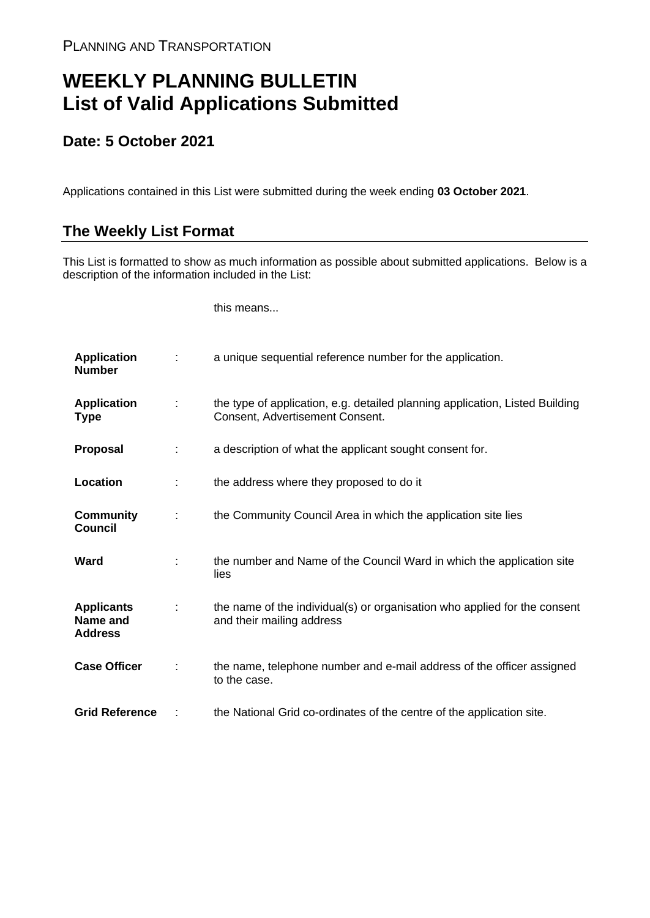## **WEEKLY PLANNING BULLETIN List of Valid Applications Submitted**

## **Date: 5 October 2021**

Applications contained in this List were submitted during the week ending **03 October 2021**.

## **The Weekly List Format**

This List is formatted to show as much information as possible about submitted applications. Below is a description of the information included in the List:

this means...

| <b>Application</b><br><b>Number</b>             |   | a unique sequential reference number for the application.                                                       |
|-------------------------------------------------|---|-----------------------------------------------------------------------------------------------------------------|
| <b>Application</b><br><b>Type</b>               | ÷ | the type of application, e.g. detailed planning application, Listed Building<br>Consent, Advertisement Consent. |
| Proposal                                        | ÷ | a description of what the applicant sought consent for.                                                         |
| Location                                        |   | the address where they proposed to do it                                                                        |
| <b>Community</b><br><b>Council</b>              | ÷ | the Community Council Area in which the application site lies                                                   |
| Ward                                            |   | the number and Name of the Council Ward in which the application site<br>lies                                   |
| <b>Applicants</b><br>Name and<br><b>Address</b> |   | the name of the individual(s) or organisation who applied for the consent<br>and their mailing address          |
| <b>Case Officer</b>                             |   | the name, telephone number and e-mail address of the officer assigned<br>to the case.                           |
| <b>Grid Reference</b>                           |   | the National Grid co-ordinates of the centre of the application site.                                           |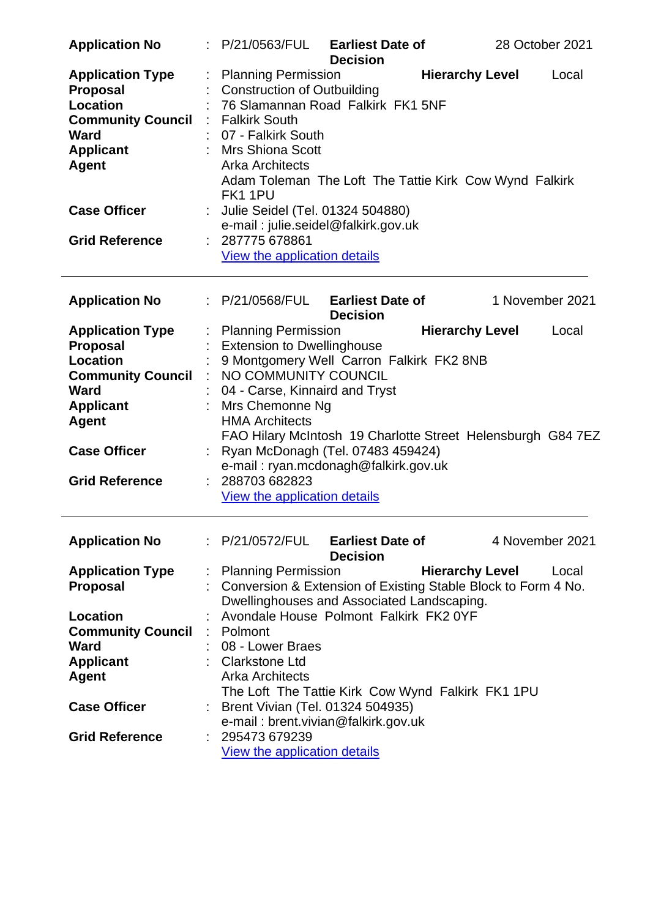| <b>Application No</b>                                                                                                                                        | : P/21/0563/FUL                                                                                                                                                                                                                                   | <b>Earliest Date of</b><br><b>Decision</b> |                        | 28 October 2021 |
|--------------------------------------------------------------------------------------------------------------------------------------------------------------|---------------------------------------------------------------------------------------------------------------------------------------------------------------------------------------------------------------------------------------------------|--------------------------------------------|------------------------|-----------------|
| <b>Application Type</b><br><b>Proposal</b><br><b>Location</b><br><b>Community Council : Falkirk South</b><br><b>Ward</b><br><b>Applicant</b><br><b>Agent</b> | <b>Planning Permission</b><br><b>Construction of Outbuilding</b><br>76 Slamannan Road Falkirk FK1 5NF<br>: 07 - Falkirk South<br>: Mrs Shiona Scott<br><b>Arka Architects</b><br>Adam Toleman The Loft The Tattie Kirk Cow Wynd Falkirk<br>FK11PU |                                            | <b>Hierarchy Level</b> | Local           |
| <b>Case Officer</b>                                                                                                                                          | : Julie Seidel (Tel. 01324 504880)<br>e-mail: julie.seidel@falkirk.gov.uk                                                                                                                                                                         |                                            |                        |                 |
| <b>Grid Reference</b>                                                                                                                                        | : 287775678861<br>View the application details                                                                                                                                                                                                    |                                            |                        |                 |
| <b>Application No</b>                                                                                                                                        | : P/21/0568/FUL                                                                                                                                                                                                                                   | <b>Earliest Date of</b><br><b>Decision</b> |                        | 1 November 2021 |
| <b>Application Type</b>                                                                                                                                      | <b>Planning Permission</b>                                                                                                                                                                                                                        |                                            | <b>Hierarchy Level</b> | Local           |
| <b>Proposal</b>                                                                                                                                              | <b>Extension to Dwellinghouse</b>                                                                                                                                                                                                                 |                                            |                        |                 |
| <b>Location</b>                                                                                                                                              | 9 Montgomery Well Carron Falkirk FK2 8NB                                                                                                                                                                                                          |                                            |                        |                 |
| <b>Community Council</b><br><b>Ward</b>                                                                                                                      | NO COMMUNITY COUNCIL                                                                                                                                                                                                                              |                                            |                        |                 |
| <b>Applicant</b>                                                                                                                                             | 04 - Carse, Kinnaird and Tryst<br>Mrs Chemonne Ng                                                                                                                                                                                                 |                                            |                        |                 |
| <b>Agent</b>                                                                                                                                                 | <b>HMA Architects</b><br>FAO Hilary McIntosh 19 Charlotte Street Helensburgh G84 7EZ                                                                                                                                                              |                                            |                        |                 |
| <b>Case Officer</b>                                                                                                                                          | Ryan McDonagh (Tel. 07483 459424)<br>e-mail: ryan.mcdonagh@falkirk.gov.uk                                                                                                                                                                         |                                            |                        |                 |
| <b>Grid Reference</b>                                                                                                                                        | 288703 682823<br>View the application details                                                                                                                                                                                                     |                                            |                        |                 |
| <b>Application No</b>                                                                                                                                        | : P/21/0572/FUL Earliest Date of                                                                                                                                                                                                                  | <b>Decision</b>                            |                        | 4 November 2021 |
|                                                                                                                                                              |                                                                                                                                                                                                                                                   |                                            |                        |                 |
| <b>Application Type</b>                                                                                                                                      | : Planning Permission                                                                                                                                                                                                                             |                                            | <b>Hierarchy Level</b> | Local           |
| <b>Proposal</b>                                                                                                                                              | : Conversion & Extension of Existing Stable Block to Form 4 No.<br>Dwellinghouses and Associated Landscaping.                                                                                                                                     |                                            |                        |                 |
| Location                                                                                                                                                     | Avondale House Polmont Falkirk FK2 0YF                                                                                                                                                                                                            |                                            |                        |                 |
| <b>Community Council</b>                                                                                                                                     | : Polmont                                                                                                                                                                                                                                         |                                            |                        |                 |
| <b>Ward</b>                                                                                                                                                  | 08 - Lower Braes                                                                                                                                                                                                                                  |                                            |                        |                 |
| <b>Applicant</b>                                                                                                                                             | : Clarkstone Ltd                                                                                                                                                                                                                                  |                                            |                        |                 |
| <b>Agent</b>                                                                                                                                                 | <b>Arka Architects</b>                                                                                                                                                                                                                            |                                            |                        |                 |
|                                                                                                                                                              | The Loft The Tattie Kirk Cow Wynd Falkirk FK1 1PU                                                                                                                                                                                                 |                                            |                        |                 |
| <b>Case Officer</b>                                                                                                                                          | Brent Vivian (Tel. 01324 504935)                                                                                                                                                                                                                  |                                            |                        |                 |
| <b>Grid Reference</b>                                                                                                                                        | e-mail: brent.vivian@falkirk.gov.uk<br>295473 679239                                                                                                                                                                                              |                                            |                        |                 |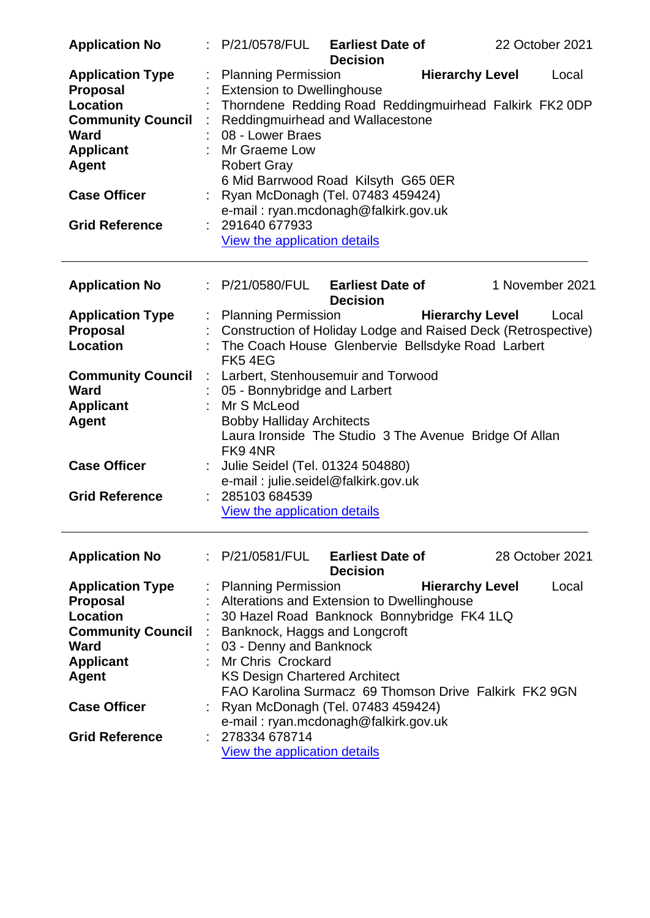| <b>Application No</b>                      |                                  | : P/21/0578/FUL Earliest Date of                                          | <b>Decision</b> |                        |  | 22 October 2021 |  |
|--------------------------------------------|----------------------------------|---------------------------------------------------------------------------|-----------------|------------------------|--|-----------------|--|
| <b>Application Type</b><br><b>Proposal</b> |                                  | <b>Planning Permission</b><br><b>Extension to Dwellinghouse</b>           |                 | <b>Hierarchy Level</b> |  | Local           |  |
| <b>Location</b>                            |                                  | Thorndene Redding Road Reddingmuirhead Falkirk FK2 0DP                    |                 |                        |  |                 |  |
| <b>Community Council</b>                   | Reddingmuirhead and Wallacestone |                                                                           |                 |                        |  |                 |  |
| <b>Ward</b>                                |                                  | 08 - Lower Braes                                                          |                 |                        |  |                 |  |
| <b>Applicant</b>                           |                                  | Mr Graeme Low                                                             |                 |                        |  |                 |  |
| <b>Agent</b>                               |                                  | <b>Robert Gray</b>                                                        |                 |                        |  |                 |  |
|                                            |                                  | 6 Mid Barrwood Road Kilsyth G65 0ER                                       |                 |                        |  |                 |  |
| <b>Case Officer</b>                        |                                  |                                                                           |                 |                        |  |                 |  |
|                                            |                                  | Ryan McDonagh (Tel. 07483 459424)<br>e-mail: ryan.mcdonagh@falkirk.gov.uk |                 |                        |  |                 |  |
| <b>Grid Reference</b>                      |                                  | 291640 677933                                                             |                 |                        |  |                 |  |
|                                            |                                  | <b>View the application details</b>                                       |                 |                        |  |                 |  |
|                                            |                                  |                                                                           |                 |                        |  |                 |  |
| <b>Application No</b>                      |                                  | : P/21/0580/FUL Earliest Date of                                          | <b>Decision</b> |                        |  | 1 November 2021 |  |
| <b>Application Type</b>                    |                                  | : Planning Permission                                                     |                 | <b>Hierarchy Level</b> |  | Local           |  |
| <b>Proposal</b>                            |                                  | Construction of Holiday Lodge and Raised Deck (Retrospective)             |                 |                        |  |                 |  |
| Location                                   |                                  | The Coach House Glenbervie Bellsdyke Road Larbert                         |                 |                        |  |                 |  |
|                                            |                                  | FK54EG                                                                    |                 |                        |  |                 |  |
| <b>Community Council</b>                   | ÷.                               | Larbert, Stenhousemuir and Torwood                                        |                 |                        |  |                 |  |
| Ward                                       |                                  | 05 - Bonnybridge and Larbert                                              |                 |                        |  |                 |  |
| <b>Applicant</b>                           |                                  | : Mr S McLeod                                                             |                 |                        |  |                 |  |
| <b>Agent</b>                               |                                  | <b>Bobby Halliday Architects</b>                                          |                 |                        |  |                 |  |
|                                            |                                  | Laura Ironside The Studio 3 The Avenue Bridge Of Allan                    |                 |                        |  |                 |  |
|                                            |                                  | FK94NR                                                                    |                 |                        |  |                 |  |
| <b>Case Officer</b>                        |                                  | Julie Seidel (Tel. 01324 504880)                                          |                 |                        |  |                 |  |
|                                            |                                  | e-mail: julie.seidel@falkirk.gov.uk                                       |                 |                        |  |                 |  |
| <b>Grid Reference</b>                      |                                  | 285103 684539                                                             |                 |                        |  |                 |  |
|                                            |                                  | View the application details                                              |                 |                        |  |                 |  |
| <b>Application No</b>                      |                                  | $\therefore$ P/21/0581/FUL Earliest Date of                               |                 |                        |  | 28 October 2021 |  |
|                                            |                                  |                                                                           | <b>Decision</b> |                        |  |                 |  |
| <b>Application Type</b>                    |                                  | <b>Planning Permission</b>                                                |                 | <b>Hierarchy Level</b> |  | Local           |  |
| <b>Proposal</b>                            |                                  | Alterations and Extension to Dwellinghouse                                |                 |                        |  |                 |  |
| <b>Location</b>                            |                                  | 30 Hazel Road Banknock Bonnybridge FK4 1LQ                                |                 |                        |  |                 |  |
| <b>Community Council</b>                   |                                  | Banknock, Haggs and Longcroft                                             |                 |                        |  |                 |  |
| Ward                                       |                                  | 03 - Denny and Banknock                                                   |                 |                        |  |                 |  |
| <b>Applicant</b>                           |                                  | <b>Mr Chris Crockard</b>                                                  |                 |                        |  |                 |  |
| <b>Agent</b>                               |                                  | <b>KS Design Chartered Architect</b>                                      |                 |                        |  |                 |  |
|                                            |                                  | FAO Karolina Surmacz 69 Thomson Drive Falkirk FK2 9GN                     |                 |                        |  |                 |  |
| <b>Case Officer</b>                        |                                  | Ryan McDonagh (Tel. 07483 459424)                                         |                 |                        |  |                 |  |
|                                            |                                  | e-mail: ryan.mcdonagh@falkirk.gov.uk                                      |                 |                        |  |                 |  |
| <b>Grid Reference</b>                      |                                  | 278334 678714                                                             |                 |                        |  |                 |  |
|                                            |                                  | View the application details                                              |                 |                        |  |                 |  |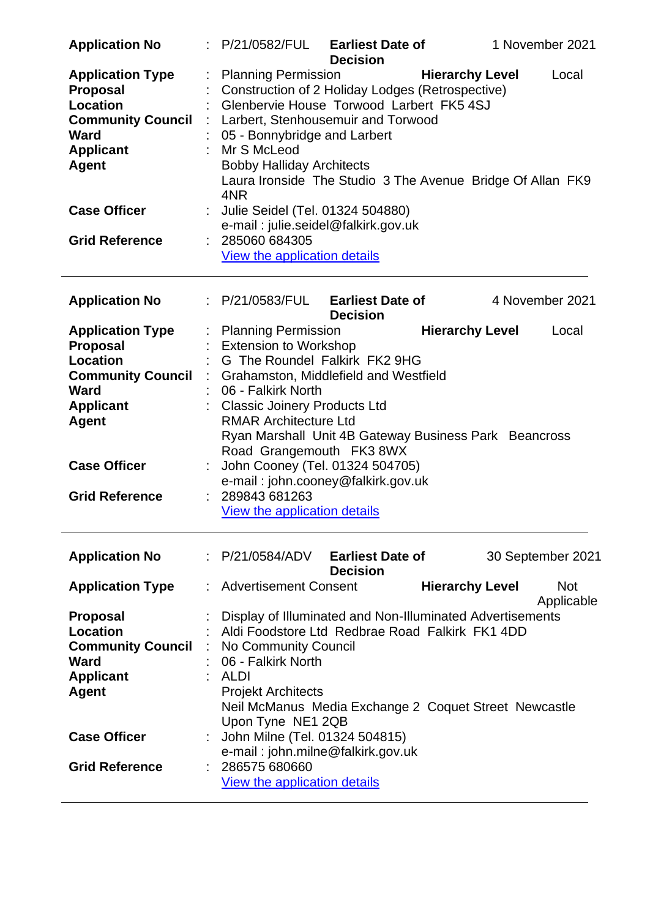|                                                                                                                                              |   | <b>Decision</b>                                                                                                                                                                                                                                                                                                                                             |  |  |  |  |  |
|----------------------------------------------------------------------------------------------------------------------------------------------|---|-------------------------------------------------------------------------------------------------------------------------------------------------------------------------------------------------------------------------------------------------------------------------------------------------------------------------------------------------------------|--|--|--|--|--|
| <b>Application Type</b><br><b>Proposal</b><br><b>Location</b><br><b>Community Council</b><br><b>Ward</b><br><b>Applicant</b><br><b>Agent</b> | ÷ | <b>Hierarchy Level</b><br><b>Planning Permission</b><br>Local<br>Construction of 2 Holiday Lodges (Retrospective)<br>Glenbervie House Torwood Larbert FK5 4SJ<br>Larbert, Stenhousemuir and Torwood<br>05 - Bonnybridge and Larbert<br>Mr S McLeod<br><b>Bobby Halliday Architects</b><br>Laura Ironside The Studio 3 The Avenue Bridge Of Allan FK9<br>4NR |  |  |  |  |  |
| <b>Case Officer</b>                                                                                                                          |   | Julie Seidel (Tel. 01324 504880)<br>e-mail: julie.seidel@falkirk.gov.uk                                                                                                                                                                                                                                                                                     |  |  |  |  |  |
| <b>Grid Reference</b>                                                                                                                        |   | 285060 684305<br>View the application details                                                                                                                                                                                                                                                                                                               |  |  |  |  |  |
| <b>Application No</b>                                                                                                                        |   | <b>Earliest Date of</b><br>4 November 2021<br>: P/21/0583/FUL<br><b>Decision</b>                                                                                                                                                                                                                                                                            |  |  |  |  |  |
| <b>Application Type</b><br><b>Proposal</b><br><b>Location</b>                                                                                |   | : Planning Permission<br><b>Hierarchy Level</b><br>Local<br><b>Extension to Workshop</b><br>G The Roundel Falkirk FK2 9HG                                                                                                                                                                                                                                   |  |  |  |  |  |
| <b>Community Council</b><br><b>Ward</b><br><b>Applicant</b><br><b>Agent</b><br><b>Case Officer</b><br><b>Grid Reference</b>                  |   | Grahamston, Middlefield and Westfield<br>06 - Falkirk North<br><b>Classic Joinery Products Ltd</b><br><b>RMAR Architecture Ltd</b><br>Ryan Marshall Unit 4B Gateway Business Park Beancross<br>Road Grangemouth FK3 8WX<br>John Cooney (Tel. 01324 504705)<br>e-mail: john.cooney@falkirk.gov.uk<br>289843 681263<br>View the application details           |  |  |  |  |  |
| <b>Application No</b>                                                                                                                        |   | : P/21/0584/ADV<br><b>Earliest Date of</b><br>30 September 2021                                                                                                                                                                                                                                                                                             |  |  |  |  |  |
| <b>Application Type</b>                                                                                                                      |   | <b>Decision</b><br>: Advertisement Consent<br><b>Hierarchy Level</b><br><b>Not</b><br>Applicable                                                                                                                                                                                                                                                            |  |  |  |  |  |